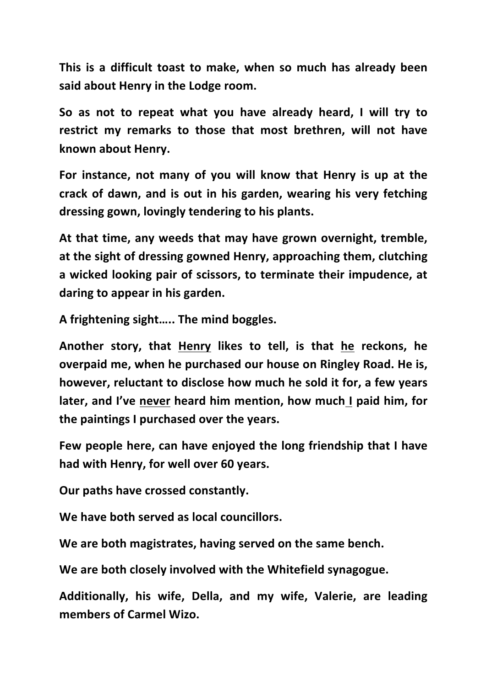**This** is a difficult toast to make, when so much has already been **said about Henry in the Lodge room.** 

So as not to repeat what you have already heard, I will try to **restrict my remarks to those that most brethren, will not have known about Henry.**

For instance, not many of you will know that Henry is up at the crack of dawn, and is out in his garden, wearing his very fetching dressing gown, lovingly tendering to his plants.

At that time, any weeds that may have grown overnight, tremble, at the sight of dressing gowned Henry, approaching them, clutching a wicked looking pair of scissors, to terminate their impudence, at daring to appear in his garden.

A frightening sight..... The mind boggles.

**Another story, that Henry likes to tell, is that he reckons, he overpaid me, when he purchased our house on Ringley Road. He is,** however, reluctant to disclose how much he sold it for, a few years **later, and I've never heard him mention, how much I paid him, for the paintings I purchased over the years.** 

Few people here, can have enjoyed the long friendship that I have had with Henry, for well over 60 years.

**Our paths have crossed constantly.** 

We have both served as local councillors.

We are both magistrates, having served on the same bench.

We are both closely involved with the Whitefield synagogue.

Additionally, his wife, Della, and my wife, Valerie, are leading **members of Carmel Wizo.**